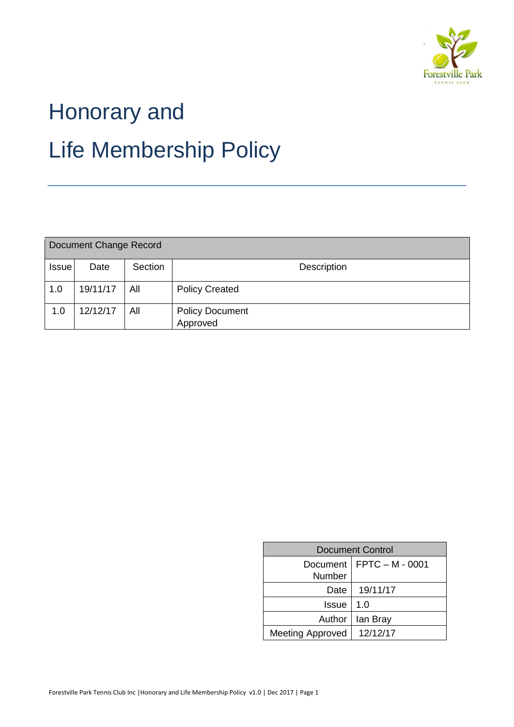

# Honorary and Life Membership Policy

| Document Change Record |          |         |                                    |  |  |  |  |
|------------------------|----------|---------|------------------------------------|--|--|--|--|
| <b>Issue</b>           | Date     | Section | <b>Description</b>                 |  |  |  |  |
| 1.0                    | 19/11/17 | All     | <b>Policy Created</b>              |  |  |  |  |
| 1.0                    | 12/12/17 | All     | <b>Policy Document</b><br>Approved |  |  |  |  |

| <b>Document Control</b> |                 |  |  |  |
|-------------------------|-----------------|--|--|--|
| Document<br>Number      | FPTC - M - 0001 |  |  |  |
| Date                    | 19/11/17        |  |  |  |
| Issue                   | 1. $\Omega$     |  |  |  |
| Author                  | lan Bray        |  |  |  |
| <b>Meeting Approved</b> | 12/12/17        |  |  |  |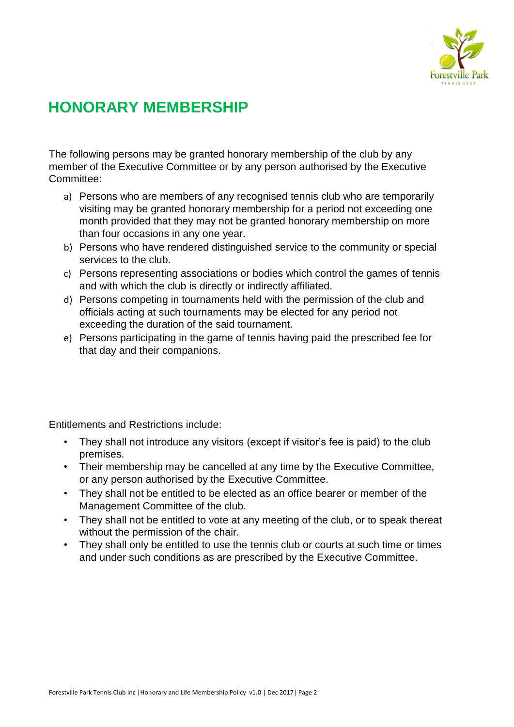

# **HONORARY MEMBERSHIP**

The following persons may be granted honorary membership of the club by any member of the Executive Committee or by any person authorised by the Executive Committee:

- a) Persons who are members of any recognised tennis club who are temporarily visiting may be granted honorary membership for a period not exceeding one month provided that they may not be granted honorary membership on more than four occasions in any one year.
- b) Persons who have rendered distinguished service to the community or special services to the club.
- c) Persons representing associations or bodies which control the games of tennis and with which the club is directly or indirectly affiliated.
- d) Persons competing in tournaments held with the permission of the club and officials acting at such tournaments may be elected for any period not exceeding the duration of the said tournament.
- e) Persons participating in the game of tennis having paid the prescribed fee for that day and their companions.

Entitlements and Restrictions include:

- They shall not introduce any visitors (except if visitor's fee is paid) to the club premises.
- Their membership may be cancelled at any time by the Executive Committee, or any person authorised by the Executive Committee.
- They shall not be entitled to be elected as an office bearer or member of the Management Committee of the club.
- They shall not be entitled to vote at any meeting of the club, or to speak thereat without the permission of the chair.
- They shall only be entitled to use the tennis club or courts at such time or times and under such conditions as are prescribed by the Executive Committee.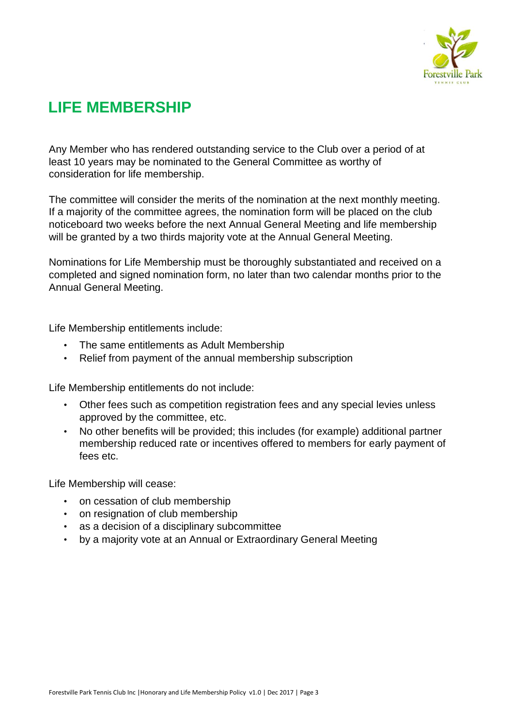

# **LIFE MEMBERSHIP**

Any Member who has rendered outstanding service to the Club over a period of at least 10 years may be nominated to the General Committee as worthy of consideration for life membership.

The committee will consider the merits of the nomination at the next monthly meeting. If a majority of the committee agrees, the nomination form will be placed on the club noticeboard two weeks before the next Annual General Meeting and life membership will be granted by a two thirds majority vote at the Annual General Meeting.

Nominations for Life Membership must be thoroughly substantiated and received on a completed and signed nomination form, no later than two calendar months prior to the Annual General Meeting.

Life Membership entitlements include:

- The same entitlements as Adult Membership
- Relief from payment of the annual membership subscription

Life Membership entitlements do not include:

- Other fees such as competition registration fees and any special levies unless approved by the committee, etc.
- No other benefits will be provided; this includes (for example) additional partner membership reduced rate or incentives offered to members for early payment of fees etc.

Life Membership will cease:

- on cessation of club membership
- on resignation of club membership
- as a decision of a disciplinary subcommittee
- by a majority vote at an Annual or Extraordinary General Meeting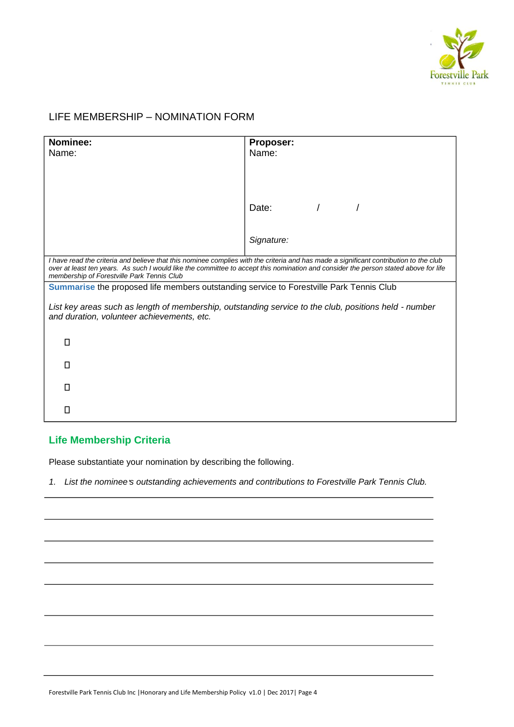

## LIFE MEMBERSHIP – NOMINATION FORM

| Nominee:                                                                                              | Proposer:                                                                                                                                                                                                                                                                    |  |
|-------------------------------------------------------------------------------------------------------|------------------------------------------------------------------------------------------------------------------------------------------------------------------------------------------------------------------------------------------------------------------------------|--|
| Name:                                                                                                 | Name:                                                                                                                                                                                                                                                                        |  |
|                                                                                                       |                                                                                                                                                                                                                                                                              |  |
|                                                                                                       |                                                                                                                                                                                                                                                                              |  |
|                                                                                                       |                                                                                                                                                                                                                                                                              |  |
|                                                                                                       | Date:                                                                                                                                                                                                                                                                        |  |
|                                                                                                       |                                                                                                                                                                                                                                                                              |  |
|                                                                                                       | Signature:                                                                                                                                                                                                                                                                   |  |
|                                                                                                       |                                                                                                                                                                                                                                                                              |  |
|                                                                                                       | I have read the criteria and believe that this nominee complies with the criteria and has made a significant contribution to the club<br>over at least ten years. As such I would like the committee to accept this nomination and consider the person stated above for life |  |
| membership of Forestville Park Tennis Club                                                            |                                                                                                                                                                                                                                                                              |  |
| Summarise the proposed life members outstanding service to Forestville Park Tennis Club               |                                                                                                                                                                                                                                                                              |  |
| List key areas such as length of membership, outstanding service to the club, positions held - number |                                                                                                                                                                                                                                                                              |  |
| and duration, volunteer achievements, etc.                                                            |                                                                                                                                                                                                                                                                              |  |
|                                                                                                       |                                                                                                                                                                                                                                                                              |  |
| П                                                                                                     |                                                                                                                                                                                                                                                                              |  |
|                                                                                                       |                                                                                                                                                                                                                                                                              |  |
| П                                                                                                     |                                                                                                                                                                                                                                                                              |  |
| П                                                                                                     |                                                                                                                                                                                                                                                                              |  |
|                                                                                                       |                                                                                                                                                                                                                                                                              |  |
| □                                                                                                     |                                                                                                                                                                                                                                                                              |  |

### **Life Membership Criteria**

Please substantiate your nomination by describing the following.

*1. List the nominee's outstanding achievements and contributions to Forestville Park Tennis Club.*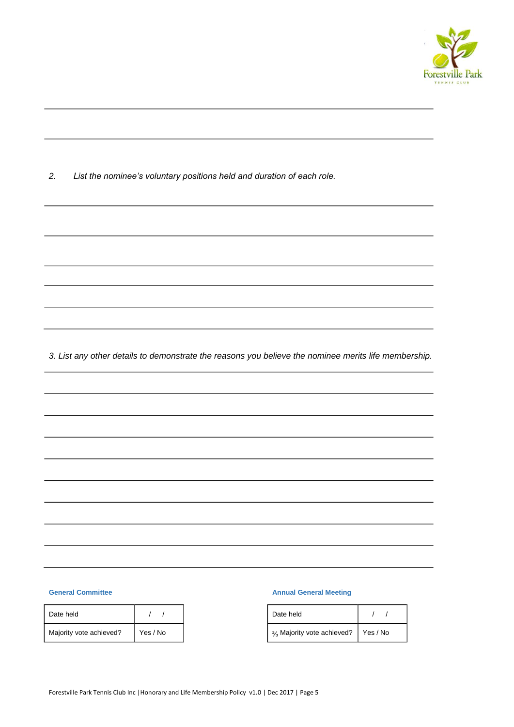

*2. List the nominee's voluntary positions held and duration of each role.* 

*3. List any other details to demonstrate the reasons you believe the nominee merits life membership.* 

#### **General Committee**

| Date held               |          |
|-------------------------|----------|
| Majority vote achieved? | Yes / No |

#### **Annual General Meeting**

| Date held                                          |  |
|----------------------------------------------------|--|
| 2/ <sub>3</sub> Majority vote achieved?   Yes / No |  |